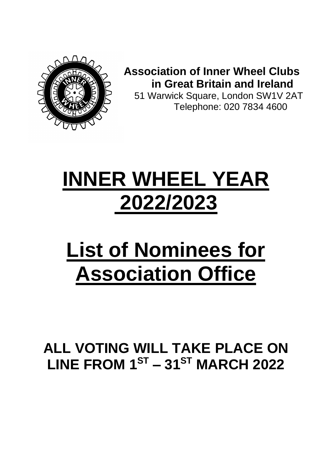

**Association of Inner Wheel Clubs in Great Britain and Ireland**

 51 Warwick Square, London SW1V 2AT Telephone: 020 7834 4600

# **INNER WHEEL YEAR 2022/2023**

# **List of Nominees for Association Office**

# **ALL VOTING WILL TAKE PLACE ON LINE FROM 1ST – 31ST MARCH 2022**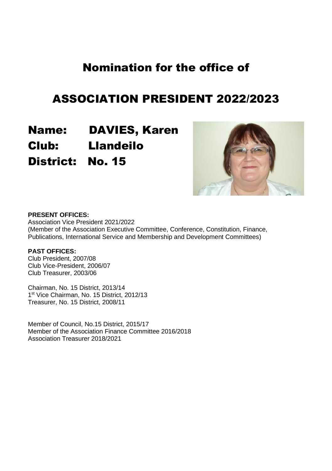# ASSOCIATION PRESIDENT 2022/2023

Name: DAVIES, Karen Club: Llandeilo District: No. 15



#### **PRESENT OFFICES:**

Association Vice President 2021/2022 (Member of the Association Executive Committee, Conference, Constitution, Finance, Publications, International Service and Membership and Development Committees)

#### **PAST OFFICES:**

Club President, 2007/08 Club Vice-President, 2006/07 Club Treasurer, 2003/06

Chairman, No. 15 District, 2013/14 1 st Vice Chairman, No. 15 District, 2012/13 Treasurer, No. 15 District, 2008/11

Member of Council, No.15 District, 2015/17 Member of the Association Finance Committee 2016/2018 Association Treasurer 2018/2021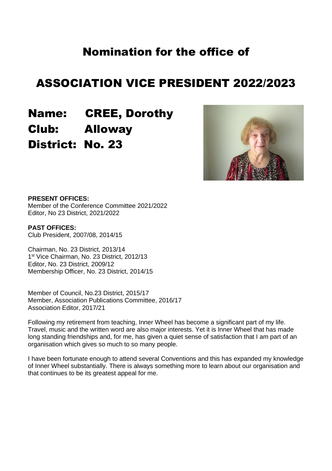### ASSOCIATION VICE PRESIDENT 2022/2023

Name: CREE, Dorothy Club: Alloway District: No. 23



#### **PRESENT OFFICES:**

Member of the Conference Committee 2021/2022 Editor, No 23 District, 2021/2022

**PAST OFFICES:** Club President, 2007/08, 2014/15

Chairman, No. 23 District, 2013/14 1 st Vice Chairman, No. 23 District, 2012/13 Editor, No. 23 District, 2009/12 Membership Officer, No. 23 District, 2014/15

Member of Council, No.23 District, 2015/17 Member, Association Publications Committee, 2016/17 Association Editor, 2017/21

Following my retirement from teaching, Inner Wheel has become a significant part of my life. Travel, music and the written word are also major interests. Yet it is Inner Wheel that has made long standing friendships and, for me, has given a quiet sense of satisfaction that I am part of an organisation which gives so much to so many people.

I have been fortunate enough to attend several Conventions and this has expanded my knowledge of Inner Wheel substantially. There is always something more to learn about our organisation and that continues to be its greatest appeal for me.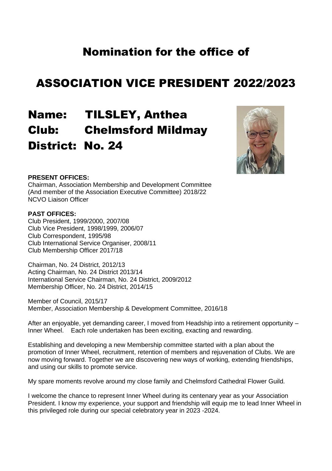# ASSOCIATION VICE PRESIDENT 2022/2023

# Name: TILSLEY, Anthea Club: Chelmsford Mildmay District: No. 24



#### **PRESENT OFFICES:**

Chairman, Association Membership and Development Committee (And member of the Association Executive Committee) 2018/22 NCVO Liaison Officer

#### **PAST OFFICES:**

Club President, 1999/2000, 2007/08 Club Vice President, 1998/1999, 2006/07 Club Correspondent, 1995/98 Club International Service Organiser, 2008/11 Club Membership Officer 2017/18

Chairman, No. 24 District, 2012/13 Acting Chairman, No. 24 District 2013/14 International Service Chairman, No. 24 District, 2009/2012 Membership Officer, No. 24 District, 2014/15

Member of Council, 2015/17 Member, Association Membership & Development Committee, 2016/18

After an enjoyable, yet demanding career, I moved from Headship into a retirement opportunity – Inner Wheel. Each role undertaken has been exciting, exacting and rewarding.

Establishing and developing a new Membership committee started with a plan about the promotion of Inner Wheel, recruitment, retention of members and rejuvenation of Clubs. We are now moving forward. Together we are discovering new ways of working, extending friendships, and using our skills to promote service.

My spare moments revolve around my close family and Chelmsford Cathedral Flower Guild.

I welcome the chance to represent Inner Wheel during its centenary year as your Association President. I know my experience, your support and friendship will equip me to lead Inner Wheel in this privileged role during our special celebratory year in 2023 -2024.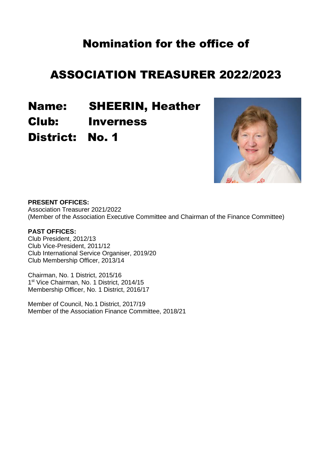# ASSOCIATION TREASURER 2022/2023

Name: SHEERIN, Heather Club: Inverness District: No. 1



#### **PRESENT OFFICES:**

Association Treasurer 2021/2022 (Member of the Association Executive Committee and Chairman of the Finance Committee)

#### **PAST OFFICES:**

Club President, 2012/13 Club Vice-President, 2011/12 Club International Service Organiser, 2019/20 Club Membership Officer, 2013/14

Chairman, No. 1 District, 2015/16 1<sup>st</sup> Vice Chairman, No. 1 District, 2014/15 Membership Officer, No. 1 District, 2016/17

Member of Council, No.1 District, 2017/19 Member of the Association Finance Committee, 2018/21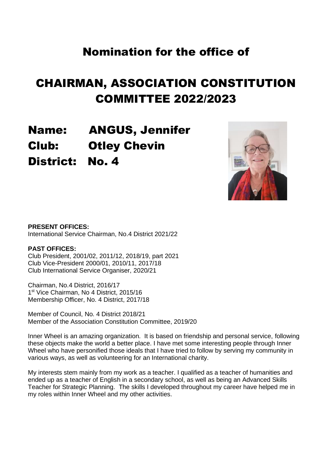# CHAIRMAN, ASSOCIATION CONSTITUTION COMMITTEE 2022/2023

Name: ANGUS, Jennifer Club: Otley Chevin District: No. 4



#### **PRESENT OFFICES:**

International Service Chairman, No.4 District 2021/22

#### **PAST OFFICES:**

Club President, 2001/02, 2011/12, 2018/19, part 2021 Club Vice-President 2000/01, 2010/11, 2017/18 Club International Service Organiser, 2020/21

Chairman, No.4 District, 2016/17 1<sup>st</sup> Vice Chairman, No 4 District, 2015/16 Membership Officer, No. 4 District, 2017/18

Member of Council, No. 4 District 2018/21 Member of the Association Constitution Committee, 2019/20

Inner Wheel is an amazing organization. It is based on friendship and personal service, following these objects make the world a better place. I have met some interesting people through Inner Wheel who have personified those ideals that I have tried to follow by serving my community in various ways, as well as volunteering for an International charity.

My interests stem mainly from my work as a teacher. I qualified as a teacher of humanities and ended up as a teacher of English in a secondary school, as well as being an Advanced Skills Teacher for Strategic Planning. The skills I developed throughout my career have helped me in my roles within Inner Wheel and my other activities.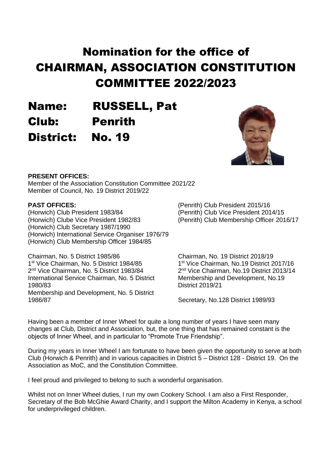# Nomination for the office of CHAIRMAN, ASSOCIATION CONSTITUTION COMMITTEE 2022/2023

Name: RUSSELL, Pat Club: Penrith District: No. 19



#### **PRESENT OFFICES:**

Member of the Association Constitution Committee 2021/22 Member of Council, No. 19 District 2019/22

#### **PAST OFFICES:**

(Horwich) Club President 1983/84 (Horwich) Clube Vice President 1982/83 (Horwich) Club Secretary 1987/1990 (Horwich) International Service Organiser 1976/79 (Horwich) Club Membership Officer 1984/85

Chairman, No. 5 District 1985/86 1 st Vice Chairman, No. 5 District 1984/85 2 nd Vice Chairman, No. 5 District 1983/84 International Service Chairman, No. 5 District 1980/83 Membership and Development, No. 5 District 1986/87

(Penrith) Club President 2015/16 (Penrith) Club Vice President 2014/15 (Penrith) Club Membership Officer 2016/17

Chairman, No. 19 District 2018/19 1 st Vice Chairman, No.19 District 2017/16 2 nd Vice Chairman, No.19 District 2013/14 Membership and Development, No.19 District 2019/21

Secretary, No.128 District 1989/93

Having been a member of Inner Wheel for quite a long number of years I have seen many changes at Club, District and Association, but, the one thing that has remained constant is the objects of Inner Wheel, and in particular to "Promote True Friendship".

During my years in Inner Wheel I am fortunate to have been given the opportunity to serve at both Club (Horwich & Penrith) and in various capacities in District 5 – District 128 - District 19. On the Association as MoC, and the Constitution Committee.

I feel proud and privileged to belong to such a wonderful organisation.

Whilst not on Inner Wheel duties, I run my own Cookery School. I am also a First Responder, Secretary of the Bob McGhie Award Charity, and I support the Milton Academy in Kenya, a school for underprivileged children.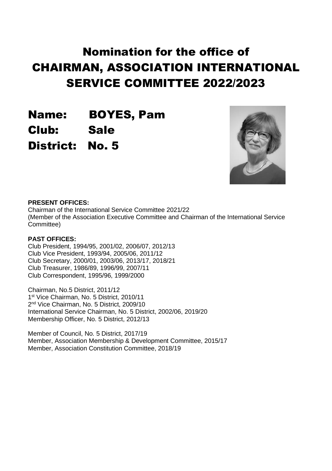# Nomination for the office of CHAIRMAN, ASSOCIATION INTERNATIONAL SERVICE COMMITTEE 2022/2023

Name: BOYES, Pam Club: Sale District: No. 5



#### **PRESENT OFFICES:**

Chairman of the International Service Committee 2021/22 (Member of the Association Executive Committee and Chairman of the International Service Committee)

#### **PAST OFFICES:**

Club President, 1994/95, 2001/02, 2006/07, 2012/13 Club Vice President, 1993/94, 2005/06, 2011/12 Club Secretary, 2000/01, 2003/06, 2013/17, 2018/21 Club Treasurer, 1986/89, 1996/99, 2007/11 Club Correspondent, 1995/96, 1999/2000

Chairman, No.5 District, 2011/12 1<sup>st</sup> Vice Chairman, No. 5 District, 2010/11 2 nd Vice Chairman, No. 5 District, 2009/10 International Service Chairman, No. 5 District, 2002/06, 2019/20 Membership Officer, No. 5 District, 2012/13

Member of Council, No. 5 District, 2017/19 Member, Association Membership & Development Committee, 2015/17 Member, Association Constitution Committee, 2018/19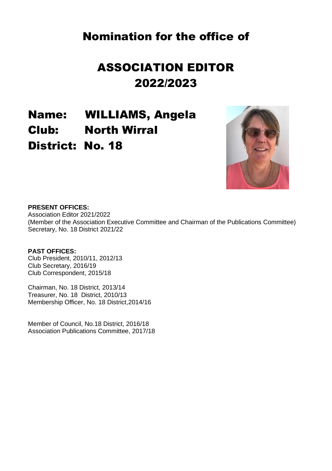# ASSOCIATION EDITOR 2022/2023

Name: WILLIAMS, Angela Club: North Wirral District: No. 18



#### **PRESENT OFFICES:**

Association Editor 2021/2022 (Member of the Association Executive Committee and Chairman of the Publications Committee) Secretary, No. 18 District 2021/22

#### **PAST OFFICES:**

Club President, 2010/11, 2012/13 Club Secretary, 2016/19 Club Correspondent, 2015/18

Chairman, No. 18 District, 2013/14 Treasurer, No. 18 District, 2010/13 Membership Officer, No. 18 District,2014/16

Member of Council, No.18 District, 2016/18 Association Publications Committee, 2017/18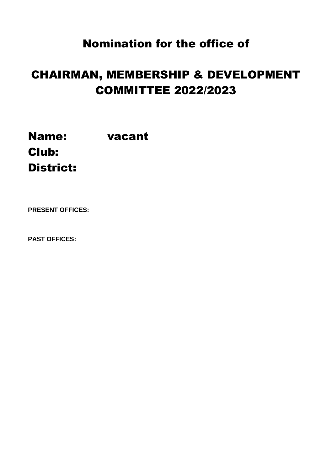# CHAIRMAN, MEMBERSHIP & DEVELOPMENT COMMITTEE 2022/2023

Name: vacant Club: District:

**PRESENT OFFICES:**

**PAST OFFICES:**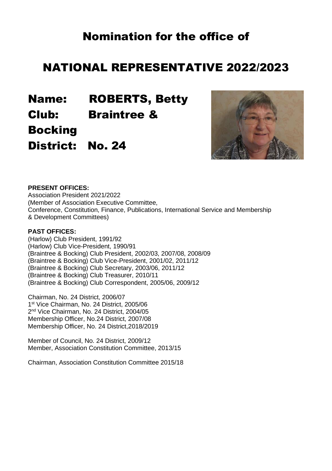### NATIONAL REPRESENTATIVE 2022/2023

Name: ROBERTS, Betty Club: Braintree & Bocking

District: No. 24



#### **PRESENT OFFICES:**

Association President 2021/2022 (Member of Association Executive Committee, Conference, Constitution, Finance, Publications, International Service and Membership & Development Committees)

#### **PAST OFFICES:**

(Harlow) Club President, 1991/92 (Harlow) Club Vice-President, 1990/91 (Braintree & Bocking) Club President, 2002/03, 2007/08, 2008/09 (Braintree & Bocking) Club Vice-President, 2001/02, 2011/12 (Braintree & Bocking) Club Secretary, 2003/06, 2011/12 (Braintree & Bocking) Club Treasurer, 2010/11 (Braintree & Bocking) Club Correspondent, 2005/06, 2009/12

Chairman, No. 24 District, 2006/07 1 st Vice Chairman, No. 24 District, 2005/06 2 nd Vice Chairman, No. 24 District, 2004/05 Membership Officer, No.24 District, 2007/08 Membership Officer, No. 24 District,2018/2019

Member of Council, No. 24 District, 2009/12 Member, Association Constitution Committee, 2013/15

Chairman, Association Constitution Committee 2015/18